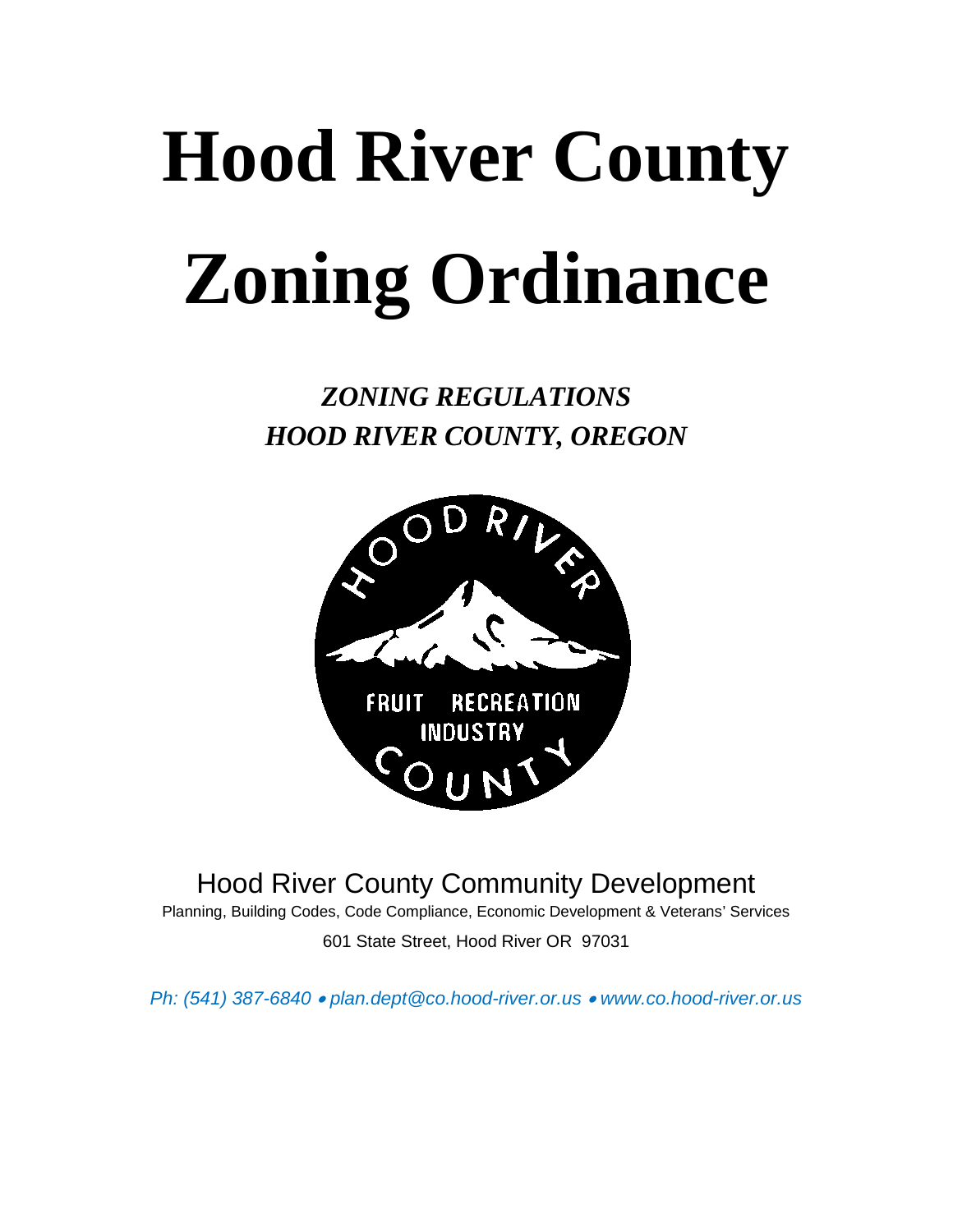## **Hood River County Zoning Ordinance**

*ZONING REGULATIONS HOOD RIVER COUNTY, OREGON*



Hood River County Community Development

Planning, Building Codes, Code Compliance, Economic Development & Veterans' Services 601 State Street, Hood River OR 97031

*Ph: (541) 387-6840* • *plan.dept@co.hood-river.or.us* • *www.co.hood-river.or.us*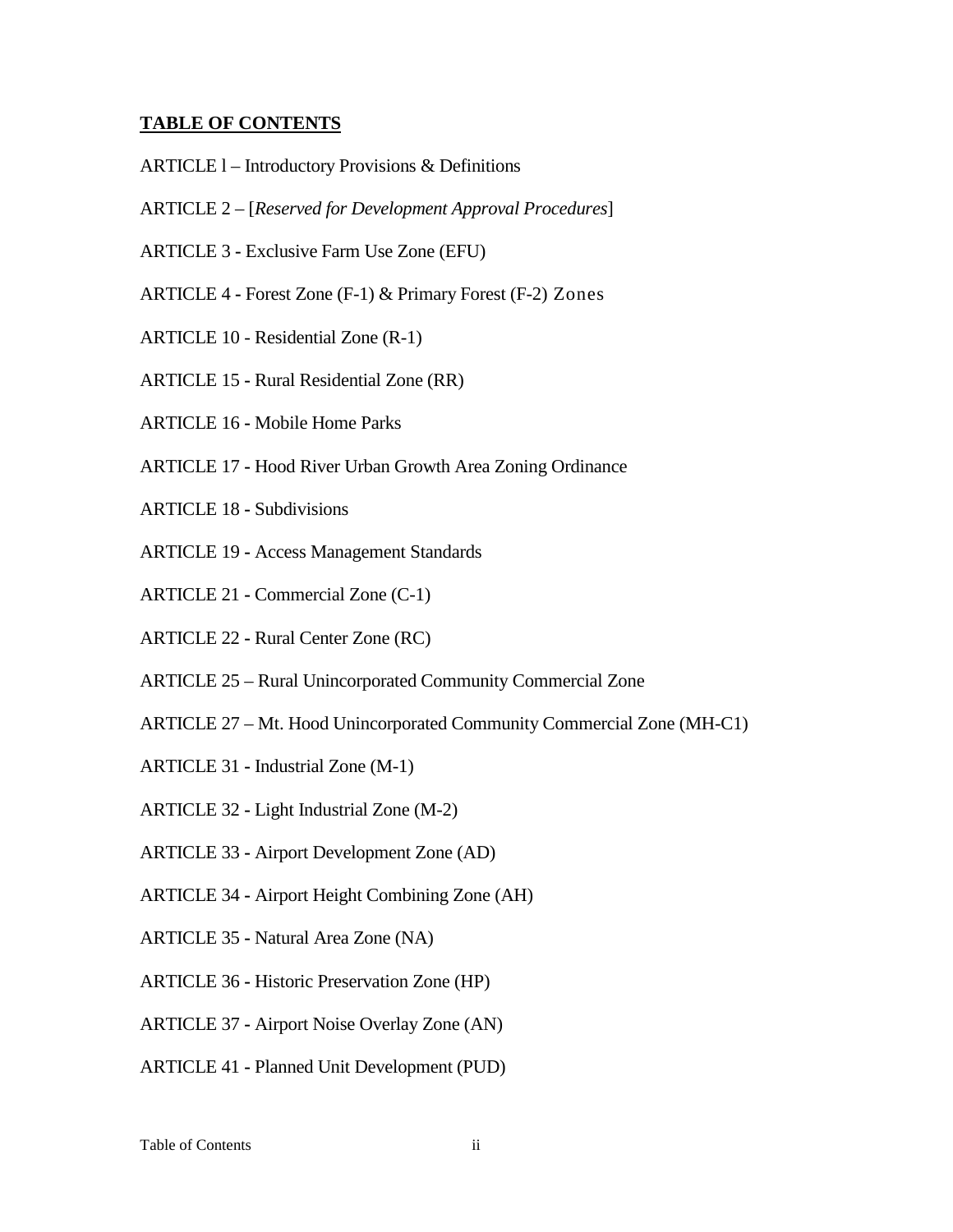## **TABLE OF CONTENTS**

- ARTICLE l Introductory Provisions & Definitions
- ARTICLE 2 [*Reserved for Development Approval Procedures*]
- ARTICLE 3 **-** Exclusive Farm Use Zone (EFU)
- ARTICLE 4 **-** Forest Zone (F-1) & Primary Forest (F-2) Zones
- ARTICLE 10 Residential Zone (R-1)
- ARTICLE 15 **-** Rural Residential Zone (RR)
- ARTICLE 16 **-** Mobile Home Parks
- ARTICLE 17 **-** Hood River Urban Growth Area Zoning Ordinance
- ARTICLE 18 **-** Subdivisions
- ARTICLE 19 **-** Access Management Standards
- ARTICLE 21 **-** Commercial Zone (C-1)
- ARTICLE 22 **-** Rural Center Zone (RC)
- ARTICLE 25 Rural Unincorporated Community Commercial Zone
- ARTICLE 27 Mt. Hood Unincorporated Community Commercial Zone (MH-C1)
- ARTICLE 31 **-** Industrial Zone (M-1)
- ARTICLE 32 **-** Light Industrial Zone (M-2)
- ARTICLE 33 **-** Airport Development Zone (AD)
- ARTICLE 34 **-** Airport Height Combining Zone (AH)
- ARTICLE 35 **-** Natural Area Zone (NA)
- ARTICLE 36 **-** Historic Preservation Zone (HP)
- ARTICLE 37 **-** Airport Noise Overlay Zone (AN)
- ARTICLE 41 **-** Planned Unit Development (PUD)